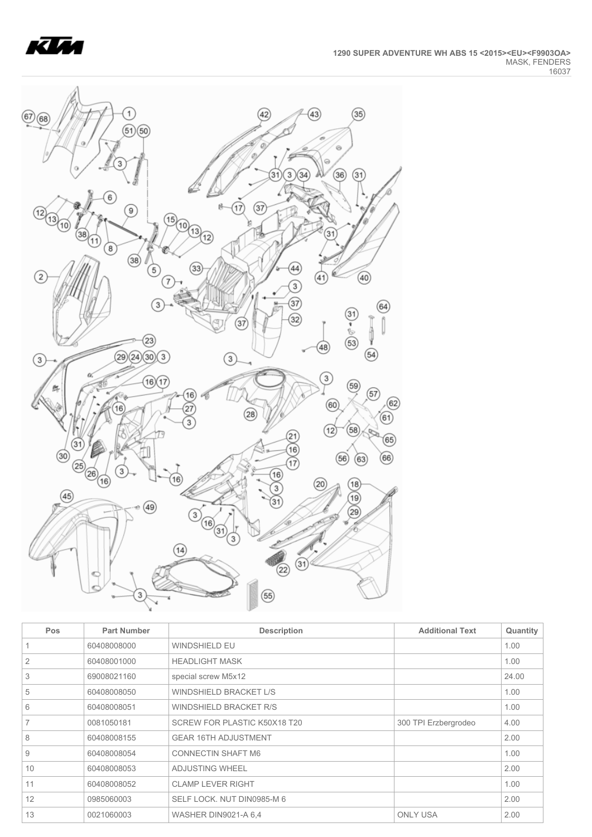



| Pos | <b>Part Number</b> | <b>Description</b>            | <b>Additional Text</b> | Quantity |
|-----|--------------------|-------------------------------|------------------------|----------|
|     | 60408008000        | <b>WINDSHIELD EU</b>          |                        | 1.00     |
| 2   | 60408001000        | <b>HEADLIGHT MASK</b>         |                        | 1.00     |
| 3   | 69008021160        | special screw M5x12           |                        | 24.00    |
| 5   | 60408008050        | WINDSHIELD BRACKET L/S        |                        | 1.00     |
| 6   | 60408008051        | <b>WINDSHIELD BRACKET R/S</b> |                        | 1.00     |
| 7   | 0081050181         | SCREW FOR PLASTIC K50X18 T20  | 300 TPI Erzbergrodeo   | 4.00     |
| 8   | 60408008155        | <b>GEAR 16TH ADJUSTMENT</b>   |                        | 2.00     |
| 9   | 60408008054        | <b>CONNECTIN SHAFT M6</b>     |                        | 1.00     |
| 10  | 60408008053        | <b>ADJUSTING WHEEL</b>        |                        | 2.00     |
| 11  | 60408008052        | <b>CLAMP LEVER RIGHT</b>      |                        | 1.00     |
| 12  | 0985060003         | SELF LOCK, NUT DIN0985-M 6    |                        | 2.00     |
| 13  | 0021060003         | <b>WASHER DIN9021-A 6.4</b>   | <b>ONLY USA</b>        | 2.00     |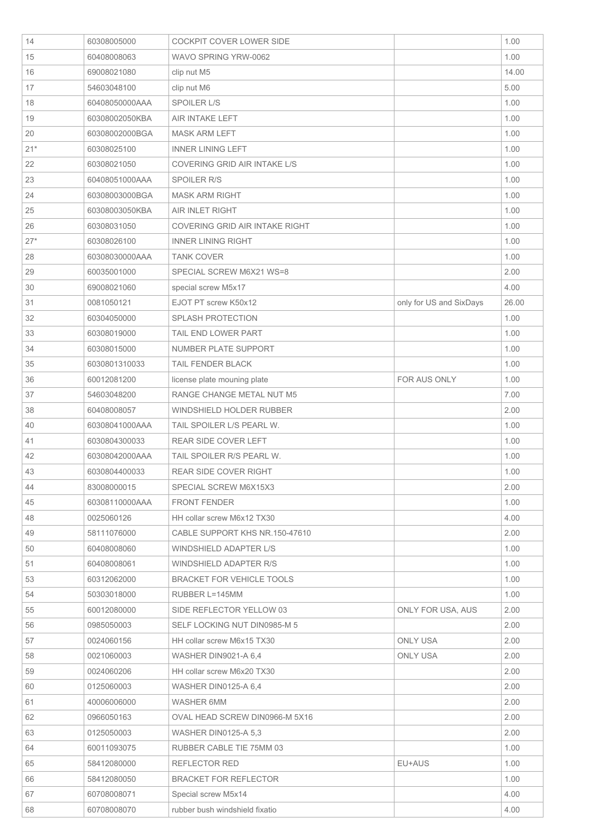| 14    | 60308005000    | <b>COCKPIT COVER LOWER SIDE</b>  |                         | 1.00  |
|-------|----------------|----------------------------------|-------------------------|-------|
| 15    | 60408008063    | WAVO SPRING YRW-0062             |                         | 1.00  |
| 16    | 69008021080    | clip nut M5                      |                         | 14.00 |
| 17    | 54603048100    | clip nut M6                      |                         | 5.00  |
| 18    | 60408050000AAA | <b>SPOILER L/S</b>               |                         | 1.00  |
| 19    | 60308002050KBA | AIR INTAKE LEFT                  |                         | 1.00  |
| 20    | 60308002000BGA | <b>MASK ARM LEFT</b>             |                         | 1.00  |
| $21*$ | 60308025100    | <b>INNER LINING LEFT</b>         |                         | 1.00  |
| 22    | 60308021050    | COVERING GRID AIR INTAKE L/S     |                         | 1.00  |
| 23    | 60408051000AAA | <b>SPOILER R/S</b>               |                         | 1.00  |
| 24    | 60308003000BGA | <b>MASK ARM RIGHT</b>            |                         | 1.00  |
| 25    | 60308003050KBA | AIR INLET RIGHT                  |                         | 1.00  |
| 26    | 60308031050    | COVERING GRID AIR INTAKE RIGHT   |                         | 1.00  |
| $27*$ | 60308026100    | <b>INNER LINING RIGHT</b>        |                         | 1.00  |
| 28    | 60308030000AAA | <b>TANK COVER</b>                |                         | 1.00  |
| 29    | 60035001000    | SPECIAL SCREW M6X21 WS=8         |                         | 2.00  |
| 30    | 69008021060    | special screw M5x17              |                         | 4.00  |
| 31    | 0081050121     | EJOT PT screw K50x12             | only for US and SixDays | 26.00 |
| 32    | 60304050000    | <b>SPLASH PROTECTION</b>         |                         | 1.00  |
| 33    | 60308019000    | TAIL END LOWER PART              |                         | 1.00  |
| 34    | 60308015000    | <b>NUMBER PLATE SUPPORT</b>      |                         | 1.00  |
| 35    | 6030801310033  | TAIL FENDER BLACK                |                         | 1.00  |
| 36    | 60012081200    | license plate mouning plate      | FOR AUS ONLY            | 1.00  |
| 37    | 54603048200    | RANGE CHANGE METAL NUT M5        |                         | 7.00  |
| 38    | 60408008057    | WINDSHIELD HOLDER RUBBER         |                         | 2.00  |
| 40    | 60308041000AAA | TAIL SPOILER L/S PEARL W.        |                         | 1.00  |
| 41    | 6030804300033  | <b>REAR SIDE COVER LEFT</b>      |                         | 1.00  |
| 42    | 60308042000AAA | TAIL SPOILER R/S PEARL W.        |                         | 1.00  |
| 43    | 6030804400033  | REAR SIDE COVER RIGHT            |                         | 1.00  |
| 44    | 83008000015    | SPECIAL SCREW M6X15X3            |                         | 2.00  |
| 45    | 60308110000AAA | <b>FRONT FENDER</b>              |                         | 1.00  |
| 48    | 0025060126     | HH collar screw M6x12 TX30       |                         | 4.00  |
| 49    | 58111076000    | CABLE SUPPORT KHS NR.150-47610   |                         | 2.00  |
| 50    | 60408008060    | WINDSHIELD ADAPTER L/S           |                         | 1.00  |
| 51    | 60408008061    | WINDSHIELD ADAPTER R/S           |                         | 1.00  |
| 53    | 60312062000    | <b>BRACKET FOR VEHICLE TOOLS</b> |                         | 1.00  |
| 54    | 50303018000    | RUBBER L=145MM                   |                         | 1.00  |
| 55    | 60012080000    | SIDE REFLECTOR YELLOW 03         | ONLY FOR USA, AUS       | 2.00  |
| 56    | 0985050003     | SELF LOCKING NUT DIN0985-M 5     |                         | 2.00  |
| 57    | 0024060156     | HH collar screw M6x15 TX30       | <b>ONLY USA</b>         | 2.00  |
| 58    | 0021060003     | WASHER DIN9021-A 6,4             | <b>ONLY USA</b>         | 2.00  |
| 59    | 0024060206     | HH collar screw M6x20 TX30       |                         | 2.00  |
| 60    | 0125060003     | WASHER DIN0125-A 6,4             |                         | 2.00  |
| 61    | 40006006000    | WASHER 6MM                       |                         | 2.00  |
| 62    | 0966050163     | OVAL HEAD SCREW DIN0966-M 5X16   |                         | 2.00  |
| 63    | 0125050003     | <b>WASHER DIN0125-A 5.3</b>      |                         | 2.00  |
| 64    | 60011093075    | RUBBER CABLE TIE 75MM 03         |                         | 1.00  |
| 65    | 58412080000    | REFLECTOR RED                    | EU+AUS                  | 1.00  |
| 66    | 58412080050    | <b>BRACKET FOR REFLECTOR</b>     |                         | 1.00  |
| 67    | 60708008071    | Special screw M5x14              |                         | 4.00  |
| 68    | 60708008070    | rubber bush windshield fixatio   |                         | 4.00  |